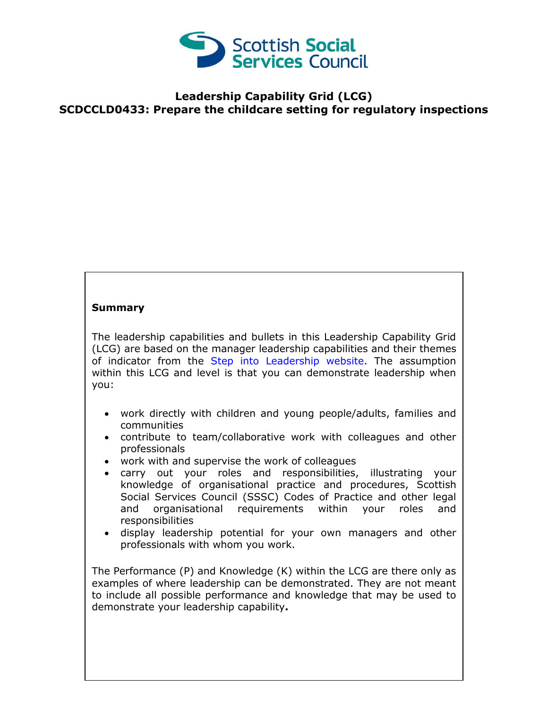

## **Leadership Capability Grid (LCG) SCDCCLD0433: Prepare the childcare setting for regulatory inspections**

## **Summary**

The leadership capabilities and bullets in this Leadership Capability Grid (LCG) are based on the manager leadership capabilities and their themes of indicator from the [Step into Leadership website.](http://www.stepintoleadership.info/) The assumption within this LCG and level is that you can demonstrate leadership when you:

- work directly with children and young people/adults, families and communities
- contribute to team/collaborative work with colleagues and other professionals
- work with and supervise the work of colleagues
- carry out your roles and responsibilities, illustrating your knowledge of organisational practice and procedures, Scottish Social Services Council (SSSC) Codes of Practice and other legal and organisational requirements within your roles and responsibilities
- display leadership potential for your own managers and other professionals with whom you work.

The Performance (P) and Knowledge (K) within the LCG are there only as examples of where leadership can be demonstrated. They are not meant to include all possible performance and knowledge that may be used to demonstrate your leadership capability**.**